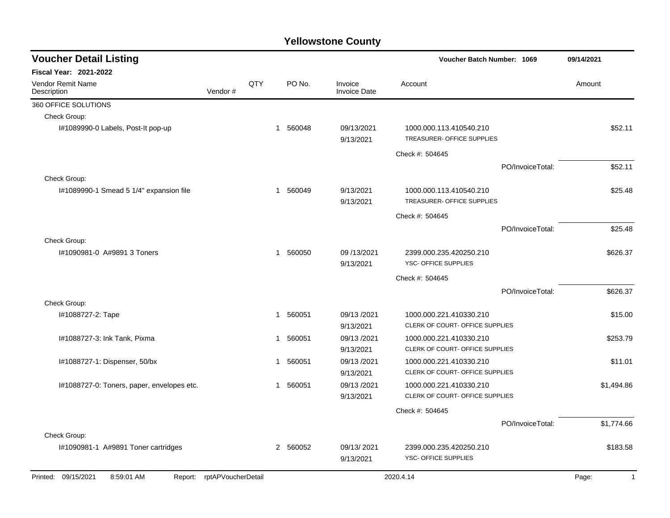| <b>Voucher Detail Listing</b>              | <b>Voucher Batch Number: 1069</b> |     | 09/14/2021   |                          |                                                       |                                                            |                  |                       |
|--------------------------------------------|-----------------------------------|-----|--------------|--------------------------|-------------------------------------------------------|------------------------------------------------------------|------------------|-----------------------|
| <b>Fiscal Year: 2021-2022</b>              |                                   |     |              |                          |                                                       |                                                            |                  |                       |
| <b>Vendor Remit Name</b><br>Description    | Vendor#                           | QTY |              | PO No.                   | Invoice<br><b>Invoice Date</b>                        | Account                                                    |                  | Amount                |
| 360 OFFICE SOLUTIONS                       |                                   |     |              |                          |                                                       |                                                            |                  |                       |
| Check Group:                               |                                   |     |              |                          |                                                       |                                                            |                  |                       |
| I#1089990-0 Labels, Post-It pop-up         |                                   |     | $\mathbf{1}$ | 560048                   | 09/13/2021<br>9/13/2021                               | 1000.000.113.410540.210<br>TREASURER- OFFICE SUPPLIES      |                  | \$52.11               |
|                                            |                                   |     |              |                          |                                                       | Check #: 504645                                            |                  |                       |
|                                            |                                   |     |              |                          |                                                       |                                                            | PO/InvoiceTotal: | \$52.11               |
| Check Group:                               |                                   |     |              |                          |                                                       |                                                            |                  |                       |
| I#1089990-1 Smead 5 1/4" expansion file    |                                   | 1   | 560049       | 9/13/2021<br>9/13/2021   | 1000.000.113.410540.210<br>TREASURER- OFFICE SUPPLIES |                                                            | \$25.48          |                       |
|                                            |                                   |     |              |                          |                                                       | Check #: 504645                                            |                  |                       |
|                                            |                                   |     |              |                          |                                                       |                                                            | PO/InvoiceTotal: | \$25.48               |
| Check Group:                               |                                   |     |              |                          |                                                       |                                                            |                  |                       |
| I#1090981-0 A#9891 3 Toners                |                                   | 1   | 560050       | 09 /13/2021<br>9/13/2021 | 2399.000.235.420250.210<br>YSC- OFFICE SUPPLIES       |                                                            | \$626.37         |                       |
|                                            |                                   |     |              |                          |                                                       | Check #: 504645                                            |                  |                       |
|                                            |                                   |     |              |                          |                                                       |                                                            | PO/InvoiceTotal: | \$626.37              |
| Check Group:                               |                                   |     |              |                          |                                                       |                                                            |                  |                       |
| I#1088727-2: Tape                          |                                   |     | $\mathbf 1$  | 560051                   | 09/13/2021<br>9/13/2021                               | 1000.000.221.410330.210<br>CLERK OF COURT- OFFICE SUPPLIES |                  | \$15.00               |
| I#1088727-3: Ink Tank, Pixma               |                                   |     | 1            | 560051                   | 09/13/2021<br>9/13/2021                               | 1000.000.221.410330.210<br>CLERK OF COURT- OFFICE SUPPLIES |                  | \$253.79              |
| I#1088727-1: Dispenser, 50/bx              |                                   |     | 1            | 560051                   | 09/13/2021<br>9/13/2021                               | 1000.000.221.410330.210<br>CLERK OF COURT- OFFICE SUPPLIES |                  | \$11.01               |
| I#1088727-0: Toners, paper, envelopes etc. |                                   |     | 1            | 560051                   | 09/13/2021<br>9/13/2021                               | 1000.000.221.410330.210<br>CLERK OF COURT- OFFICE SUPPLIES |                  | \$1,494.86            |
|                                            |                                   |     |              |                          |                                                       | Check #: 504645                                            |                  |                       |
|                                            |                                   |     |              |                          |                                                       |                                                            | PO/InvoiceTotal: | \$1,774.66            |
| Check Group:                               |                                   |     |              |                          |                                                       |                                                            |                  |                       |
| I#1090981-1 A#9891 Toner cartridges        |                                   |     |              | 2 560052                 | 09/13/2021<br>9/13/2021                               | 2399.000.235.420250.210<br>YSC- OFFICE SUPPLIES            |                  | \$183.58              |
| Printed: 09/15/2021<br>8:59:01 AM          | Report: rptAPVoucherDetail        |     |              |                          |                                                       | 2020.4.14                                                  |                  | $\mathbf{1}$<br>Page: |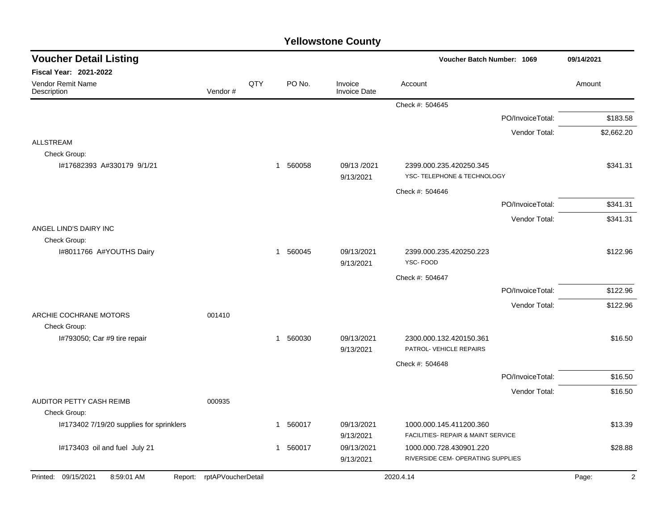| <b>Voucher Detail Listing</b>            |                            |     |              |          |                                |                                                              | Voucher Batch Number: 1069 |                         |
|------------------------------------------|----------------------------|-----|--------------|----------|--------------------------------|--------------------------------------------------------------|----------------------------|-------------------------|
| <b>Fiscal Year: 2021-2022</b>            |                            |     |              |          |                                |                                                              |                            |                         |
| Vendor Remit Name<br>Description         | Vendor#                    | QTY |              | PO No.   | Invoice<br><b>Invoice Date</b> | Account                                                      |                            | Amount                  |
|                                          |                            |     |              |          |                                | Check #: 504645                                              |                            |                         |
|                                          |                            |     |              |          |                                |                                                              | PO/InvoiceTotal:           | \$183.58                |
|                                          |                            |     |              |          |                                |                                                              | Vendor Total:              | \$2,662.20              |
| <b>ALLSTREAM</b><br>Check Group:         |                            |     |              |          |                                |                                                              |                            |                         |
| I#17682393 A#330179 9/1/21               |                            |     |              | 1 560058 | 09/13 /2021<br>9/13/2021       | 2399.000.235.420250.345<br>YSC- TELEPHONE & TECHNOLOGY       |                            | \$341.31                |
|                                          |                            |     |              |          |                                | Check #: 504646                                              |                            |                         |
|                                          |                            |     |              |          |                                |                                                              | PO/InvoiceTotal:           | \$341.31                |
|                                          |                            |     |              |          |                                |                                                              | Vendor Total:              | \$341.31                |
| ANGEL LIND'S DAIRY INC                   |                            |     |              |          |                                |                                                              |                            |                         |
| Check Group:                             |                            |     |              |          |                                |                                                              |                            |                         |
| I#8011766 A#YOUTHS Dairy                 |                            |     |              | 1 560045 | 09/13/2021<br>9/13/2021        | 2399.000.235.420250.223<br>YSC-FOOD                          |                            | \$122.96                |
|                                          |                            |     |              |          |                                | Check #: 504647                                              |                            |                         |
|                                          |                            |     |              |          |                                |                                                              | PO/InvoiceTotal:           | \$122.96                |
|                                          |                            |     |              |          |                                |                                                              | Vendor Total:              | \$122.96                |
| ARCHIE COCHRANE MOTORS                   | 001410                     |     |              |          |                                |                                                              |                            |                         |
| Check Group:                             |                            |     |              |          |                                |                                                              |                            |                         |
| I#793050; Car #9 tire repair             |                            |     |              | 1 560030 | 09/13/2021<br>9/13/2021        | 2300.000.132.420150.361<br>PATROL- VEHICLE REPAIRS           |                            | \$16.50                 |
|                                          |                            |     |              |          |                                | Check #: 504648                                              |                            |                         |
|                                          |                            |     |              |          |                                |                                                              | PO/InvoiceTotal:           | \$16.50                 |
|                                          |                            |     |              |          |                                |                                                              | Vendor Total:              | \$16.50                 |
| AUDITOR PETTY CASH REIMB                 | 000935                     |     |              |          |                                |                                                              |                            |                         |
| Check Group:                             |                            |     |              |          |                                |                                                              |                            |                         |
| I#173402 7/19/20 supplies for sprinklers |                            |     | 1            | 560017   | 09/13/2021                     | 1000.000.145.411200.360                                      |                            | \$13.39                 |
|                                          |                            |     |              |          | 9/13/2021                      | FACILITIES- REPAIR & MAINT SERVICE                           |                            |                         |
| I#173403 oil and fuel July 21            |                            |     | $\mathbf{1}$ | 560017   | 09/13/2021<br>9/13/2021        | 1000.000.728.430901.220<br>RIVERSIDE CEM- OPERATING SUPPLIES |                            | \$28.88                 |
|                                          |                            |     |              |          |                                |                                                              |                            |                         |
| Printed: 09/15/2021<br>8:59:01 AM        | Report: rptAPVoucherDetail |     |              |          |                                | 2020.4.14                                                    |                            | $\overline{2}$<br>Page: |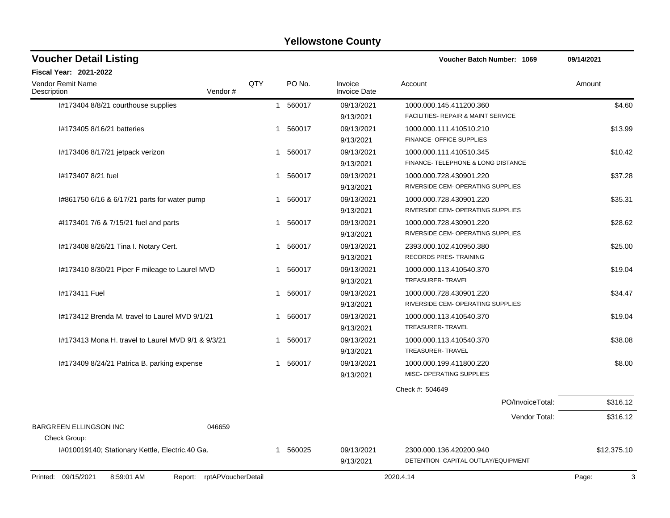| <b>Voucher Detail Listing</b>                      |                    |                  |                                | Voucher Batch Number: 1069          | 09/14/2021  |
|----------------------------------------------------|--------------------|------------------|--------------------------------|-------------------------------------|-------------|
| Fiscal Year: 2021-2022                             |                    |                  |                                |                                     |             |
| Vendor Remit Name<br>Description                   | QTY<br>Vendor#     | PO <sub>No</sub> | Invoice<br><b>Invoice Date</b> | Account                             | Amount      |
| I#173404 8/8/21 courthouse supplies                |                    | 1 560017         | 09/13/2021                     | 1000.000.145.411200.360             | \$4.60      |
|                                                    |                    |                  | 9/13/2021                      | FACILITIES- REPAIR & MAINT SERVICE  |             |
| I#173405 8/16/21 batteries                         |                    | 1 560017         | 09/13/2021                     | 1000.000.111.410510.210             | \$13.99     |
|                                                    |                    |                  | 9/13/2021                      | FINANCE- OFFICE SUPPLIES            |             |
| I#173406 8/17/21 jetpack verizon                   |                    | 1 560017         | 09/13/2021                     | 1000.000.111.410510.345             | \$10.42     |
|                                                    |                    |                  | 9/13/2021                      | FINANCE- TELEPHONE & LONG DISTANCE  |             |
| #173407 8/21 fuel                                  |                    | 1 560017         | 09/13/2021                     | 1000.000.728.430901.220             | \$37.28     |
|                                                    |                    |                  | 9/13/2021                      | RIVERSIDE CEM- OPERATING SUPPLIES   |             |
| 1#861750 6/16 & 6/17/21 parts for water pump       |                    | 560017<br>1      | 09/13/2021                     | 1000.000.728.430901.220             | \$35.31     |
|                                                    |                    |                  | 9/13/2021                      | RIVERSIDE CEM- OPERATING SUPPLIES   |             |
| #1173401 7/6 & 7/15/21 fuel and parts              |                    | 560017<br>1      | 09/13/2021                     | 1000.000.728.430901.220             | \$28.62     |
|                                                    |                    |                  | 9/13/2021                      | RIVERSIDE CEM- OPERATING SUPPLIES   |             |
| 1#173408 8/26/21 Tina I. Notary Cert.              |                    | 560017<br>1      | 09/13/2021                     | 2393.000.102.410950.380             | \$25.00     |
|                                                    |                    |                  | 9/13/2021                      | RECORDS PRES- TRAINING              |             |
| I#173410 8/30/21 Piper F mileage to Laurel MVD     |                    | 560017<br>1      | 09/13/2021                     | 1000.000.113.410540.370             | \$19.04     |
|                                                    |                    |                  | 9/13/2021                      | TREASURER-TRAVEL                    |             |
| I#173411 Fuel                                      |                    | 560017<br>1      | 09/13/2021                     | 1000.000.728.430901.220             | \$34.47     |
|                                                    |                    |                  | 9/13/2021                      | RIVERSIDE CEM- OPERATING SUPPLIES   |             |
| 1#173412 Brenda M. travel to Laurel MVD 9/1/21     |                    | 560017<br>1      | 09/13/2021                     | 1000.000.113.410540.370             | \$19.04     |
|                                                    |                    |                  | 9/13/2021                      | <b>TREASURER-TRAVEL</b>             |             |
| 1#173413 Mona H. travel to Laurel MVD 9/1 & 9/3/21 |                    | 560017<br>1      | 09/13/2021                     | 1000.000.113.410540.370             | \$38.08     |
|                                                    |                    |                  | 9/13/2021                      | TREASURER-TRAVEL                    |             |
| I#173409 8/24/21 Patrica B. parking expense        |                    | 1 560017         | 09/13/2021                     | 1000.000.199.411800.220             | \$8.00      |
|                                                    |                    |                  | 9/13/2021                      | MISC- OPERATING SUPPLIES            |             |
|                                                    |                    |                  |                                | Check #: 504649                     |             |
|                                                    |                    |                  |                                | PO/InvoiceTotal:                    | \$316.12    |
|                                                    |                    |                  |                                | Vendor Total:                       | \$316.12    |
| <b>BARGREEN ELLINGSON INC</b><br>046659            |                    |                  |                                |                                     |             |
| Check Group:                                       |                    |                  |                                |                                     |             |
| I#010019140; Stationary Kettle, Electric, 40 Ga.   |                    | 1 560025         | 09/13/2021                     | 2300.000.136.420200.940             | \$12,375.10 |
|                                                    |                    |                  | 9/13/2021                      | DETENTION- CAPITAL OUTLAY/EQUIPMENT |             |
| Printed: 09/15/2021<br>8:59:01 AM<br>Report:       | rptAPVoucherDetail |                  |                                | 2020.4.14                           | 3<br>Page:  |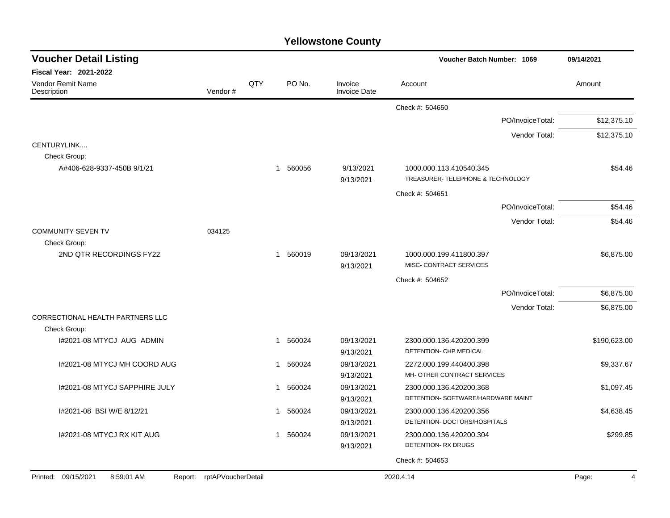| <b>Voucher Detail Listing</b>                           |                            |             |                        |                                | Voucher Batch Number: 1069                                    |                  | 09/14/2021   |
|---------------------------------------------------------|----------------------------|-------------|------------------------|--------------------------------|---------------------------------------------------------------|------------------|--------------|
| <b>Fiscal Year: 2021-2022</b>                           |                            |             |                        |                                |                                                               |                  |              |
| Vendor Remit Name<br>Description                        | Vendor#                    | QTY         | PO No.                 | Invoice<br><b>Invoice Date</b> | Account                                                       |                  | Amount       |
|                                                         |                            |             |                        |                                | Check #: 504650                                               |                  |              |
|                                                         |                            |             |                        |                                |                                                               | PO/InvoiceTotal: | \$12,375.10  |
|                                                         |                            |             |                        |                                |                                                               | Vendor Total:    | \$12,375.10  |
| CENTURYLINK<br>Check Group:                             |                            |             |                        |                                |                                                               |                  |              |
| A#406-628-9337-450B 9/1/21                              |                            |             | 560056<br>1            | 9/13/2021<br>9/13/2021         | 1000.000.113.410540.345<br>TREASURER- TELEPHONE & TECHNOLOGY  |                  | \$54.46      |
|                                                         |                            |             |                        |                                | Check #: 504651                                               |                  |              |
|                                                         |                            |             |                        |                                |                                                               | PO/InvoiceTotal: | \$54.46      |
|                                                         |                            |             |                        |                                |                                                               | Vendor Total:    | \$54.46      |
| <b>COMMUNITY SEVEN TV</b><br>Check Group:               | 034125                     |             |                        |                                |                                                               |                  |              |
| 2ND QTR RECORDINGS FY22                                 |                            |             | 1 560019               | 09/13/2021<br>9/13/2021        | 1000.000.199.411800.397<br>MISC- CONTRACT SERVICES            |                  | \$6,875.00   |
|                                                         |                            |             |                        |                                | Check #: 504652                                               |                  |              |
|                                                         |                            |             |                        |                                |                                                               | PO/InvoiceTotal: | \$6,875.00   |
|                                                         |                            |             |                        |                                |                                                               | Vendor Total:    | \$6,875.00   |
| <b>CORRECTIONAL HEALTH PARTNERS LLC</b><br>Check Group: |                            |             |                        |                                |                                                               |                  |              |
| I#2021-08 MTYCJ AUG ADMIN                               |                            | 1           | 560024                 | 09/13/2021<br>9/13/2021        | 2300.000.136.420200.399<br>DETENTION- CHP MEDICAL             |                  | \$190,623.00 |
| I#2021-08 MTYCJ MH COORD AUG                            |                            | 1           | 560024                 | 09/13/2021<br>9/13/2021        | 2272.000.199.440400.398<br>MH- OTHER CONTRACT SERVICES        |                  | \$9,337.67   |
| 1#2021-08 MTYCJ SAPPHIRE JULY                           |                            | 1           | 560024                 | 09/13/2021<br>9/13/2021        | 2300.000.136.420200.368<br>DETENTION- SOFTWARE/HARDWARE MAINT |                  | \$1,097.45   |
| I#2021-08 BSI W/E 8/12/21                               |                            |             | 560024<br>$\mathbf{1}$ | 09/13/2021<br>9/13/2021        | 2300.000.136.420200.356<br>DETENTION- DOCTORS/HOSPITALS       |                  | \$4,638.45   |
| 1#2021-08 MTYCJ RX KIT AUG                              |                            | $\mathbf 1$ | 560024                 | 09/13/2021<br>9/13/2021        | 2300.000.136.420200.304<br><b>DETENTION-RX DRUGS</b>          |                  | \$299.85     |
|                                                         |                            |             |                        |                                | Check #: 504653                                               |                  |              |
| Printed: 09/15/2021<br>8:59:01 AM                       | Report: rptAPVoucherDetail |             |                        |                                | 2020.4.14                                                     |                  | Page:<br>4   |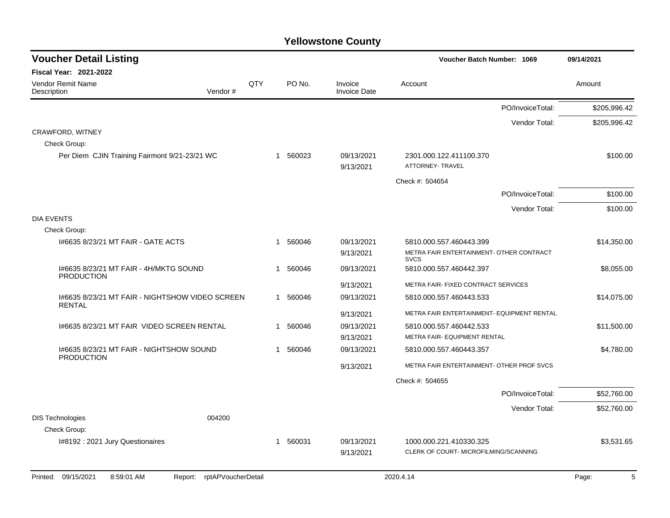| <b>Voucher Detail Listing</b>                                    |     |                       |                                | Voucher Batch Number: 1069                                       | 09/14/2021   |
|------------------------------------------------------------------|-----|-----------------------|--------------------------------|------------------------------------------------------------------|--------------|
| <b>Fiscal Year: 2021-2022</b>                                    |     |                       |                                |                                                                  |              |
| <b>Vendor Remit Name</b><br>Vendor#<br>Description               | QTY | PO No.                | Invoice<br><b>Invoice Date</b> | Account                                                          | Amount       |
|                                                                  |     |                       |                                | PO/InvoiceTotal:                                                 | \$205,996.42 |
|                                                                  |     |                       |                                | Vendor Total:                                                    | \$205,996.42 |
| CRAWFORD, WITNEY                                                 |     |                       |                                |                                                                  |              |
| Check Group:                                                     |     |                       |                                |                                                                  |              |
| Per Diem CJIN Training Fairmont 9/21-23/21 WC                    |     | 1 560023              | 09/13/2021<br>9/13/2021        | 2301.000.122.411100.370<br><b>ATTORNEY- TRAVEL</b>               | \$100.00     |
|                                                                  |     |                       |                                | Check #: 504654                                                  |              |
|                                                                  |     |                       |                                | PO/InvoiceTotal:                                                 | \$100.00     |
|                                                                  |     |                       |                                | Vendor Total:                                                    | \$100.00     |
| <b>DIA EVENTS</b>                                                |     |                       |                                |                                                                  |              |
| Check Group:                                                     |     |                       |                                |                                                                  |              |
| 1#6635 8/23/21 MT FAIR - GATE ACTS                               |     | 560046<br>1           | 09/13/2021                     | 5810.000.557.460443.399                                          | \$14,350.00  |
|                                                                  |     |                       | 9/13/2021                      | METRA FAIR ENTERTAINMENT- OTHER CONTRACT<br><b>SVCS</b>          |              |
| 1#6635 8/23/21 MT FAIR - 4H/MKTG SOUND<br><b>PRODUCTION</b>      |     | 560046<br>1           | 09/13/2021                     | 5810.000.557.460442.397                                          | \$8,055.00   |
|                                                                  |     |                       | 9/13/2021                      | METRA FAIR- FIXED CONTRACT SERVICES                              |              |
| I#6635 8/23/21 MT FAIR - NIGHTSHOW VIDEO SCREEN<br><b>RENTAL</b> |     | 1 560046              | 09/13/2021                     | 5810.000.557.460443.533                                          | \$14,075.00  |
|                                                                  |     |                       | 9/13/2021                      | METRA FAIR ENTERTAINMENT- EQUIPMENT RENTAL                       |              |
| 1#6635 8/23/21 MT FAIR VIDEO SCREEN RENTAL                       |     | 560046<br>$\mathbf 1$ | 09/13/2021                     | 5810.000.557.460442.533                                          | \$11,500.00  |
|                                                                  |     |                       | 9/13/2021                      | METRA FAIR- EQUIPMENT RENTAL                                     |              |
| I#6635 8/23/21 MT FAIR - NIGHTSHOW SOUND<br><b>PRODUCTION</b>    |     | 560046<br>1           | 09/13/2021                     | 5810.000.557.460443.357                                          | \$4,780.00   |
|                                                                  |     |                       | 9/13/2021                      | METRA FAIR ENTERTAINMENT- OTHER PROF SVCS                        |              |
|                                                                  |     |                       |                                | Check #: 504655                                                  |              |
|                                                                  |     |                       |                                | PO/InvoiceTotal:                                                 | \$52,760.00  |
|                                                                  |     |                       |                                | Vendor Total:                                                    | \$52,760.00  |
| <b>DIS Technologies</b><br>004200                                |     |                       |                                |                                                                  |              |
| Check Group:                                                     |     |                       |                                |                                                                  |              |
| I#8192 : 2021 Jury Questionaires                                 |     | 560031<br>1           | 09/13/2021<br>9/13/2021        | 1000.000.221.410330.325<br>CLERK OF COURT- MICROFILMING/SCANNING | \$3,531.65   |
|                                                                  |     |                       |                                |                                                                  |              |

Printed: 09/15/2021 8:59:01 AM Report: rptAPVoucherDetail 2020.4.14 2020.4.14 2020.4.14 Page: 5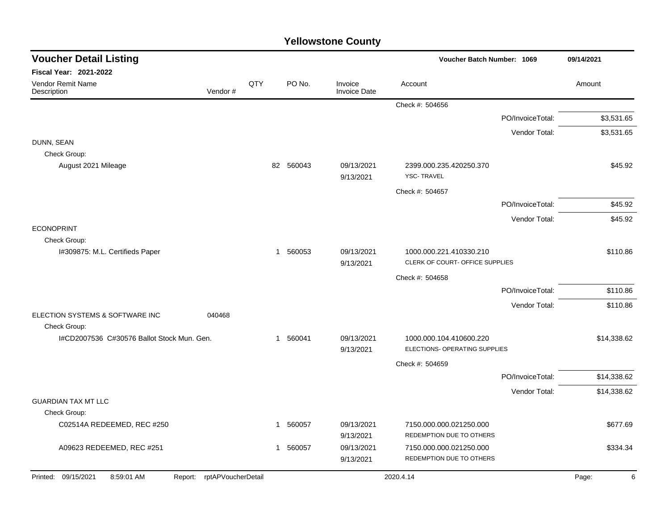| <b>Voucher Detail Listing</b>                                   |     |   |           |                                | Voucher Batch Number: 1069                                 | 09/14/2021       |             |
|-----------------------------------------------------------------|-----|---|-----------|--------------------------------|------------------------------------------------------------|------------------|-------------|
| <b>Fiscal Year: 2021-2022</b>                                   |     |   |           |                                |                                                            |                  |             |
| <b>Vendor Remit Name</b><br>Vendor#<br>Description              | QTY |   | PO No.    | Invoice<br><b>Invoice Date</b> | Account                                                    |                  | Amount      |
|                                                                 |     |   |           |                                | Check #: 504656                                            |                  |             |
|                                                                 |     |   |           |                                |                                                            | PO/InvoiceTotal: | \$3,531.65  |
|                                                                 |     |   |           |                                |                                                            | Vendor Total:    | \$3,531.65  |
| DUNN, SEAN<br>Check Group:                                      |     |   |           |                                |                                                            |                  |             |
| August 2021 Mileage                                             |     |   | 82 560043 | 09/13/2021<br>9/13/2021        | 2399.000.235.420250.370<br><b>YSC-TRAVEL</b>               |                  | \$45.92     |
|                                                                 |     |   |           |                                | Check #: 504657                                            |                  |             |
|                                                                 |     |   |           |                                |                                                            | PO/InvoiceTotal: | \$45.92     |
|                                                                 |     |   |           |                                |                                                            | Vendor Total:    | \$45.92     |
| <b>ECONOPRINT</b>                                               |     |   |           |                                |                                                            |                  |             |
| Check Group:<br>I#309875: M.L. Certifieds Paper                 |     |   | 1 560053  | 09/13/2021<br>9/13/2021        | 1000.000.221.410330.210<br>CLERK OF COURT- OFFICE SUPPLIES |                  | \$110.86    |
|                                                                 |     |   |           |                                | Check #: 504658                                            |                  |             |
|                                                                 |     |   |           |                                |                                                            | PO/InvoiceTotal: | \$110.86    |
|                                                                 |     |   |           |                                |                                                            | Vendor Total:    | \$110.86    |
| ELECTION SYSTEMS & SOFTWARE INC<br>040468<br>Check Group:       |     |   |           |                                |                                                            |                  |             |
| I#CD2007536 C#30576 Ballot Stock Mun. Gen.                      |     |   | 1 560041  | 09/13/2021<br>9/13/2021        | 1000.000.104.410600.220<br>ELECTIONS- OPERATING SUPPLIES   |                  | \$14,338.62 |
|                                                                 |     |   |           |                                | Check #: 504659                                            |                  |             |
|                                                                 |     |   |           |                                |                                                            | PO/InvoiceTotal: | \$14,338.62 |
|                                                                 |     |   |           |                                |                                                            | Vendor Total:    | \$14,338.62 |
| <b>GUARDIAN TAX MT LLC</b>                                      |     |   |           |                                |                                                            |                  |             |
| Check Group:                                                    |     |   |           |                                |                                                            |                  |             |
| C02514A REDEEMED, REC #250                                      |     | 1 | 560057    | 09/13/2021<br>9/13/2021        | 7150.000.000.021250.000<br>REDEMPTION DUE TO OTHERS        |                  | \$677.69    |
| A09623 REDEEMED, REC #251                                       |     | 1 | 560057    | 09/13/2021                     | 7150.000.000.021250.000                                    |                  | \$334.34    |
|                                                                 |     |   |           | 9/13/2021                      | REDEMPTION DUE TO OTHERS                                   |                  |             |
| Printed: 09/15/2021<br>Report: rptAPVoucherDetail<br>8:59:01 AM |     |   |           |                                | 2020.4.14                                                  |                  | Page:<br>6  |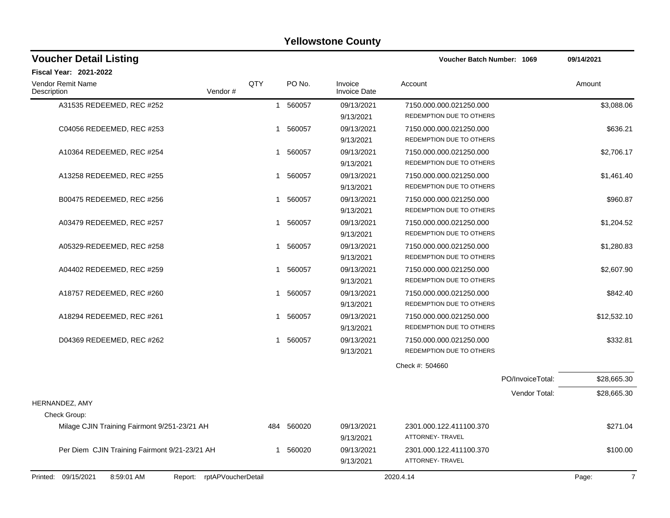| <b>Voucher Detail Listing</b>                 |         |              |           |                                | Voucher Batch Number: 1069 |                  | 09/14/2021  |
|-----------------------------------------------|---------|--------------|-----------|--------------------------------|----------------------------|------------------|-------------|
| Fiscal Year: 2021-2022                        |         |              |           |                                |                            |                  |             |
| Vendor Remit Name<br>Description              | Vendor# | QTY          | PO No.    | Invoice<br><b>Invoice Date</b> | Account                    |                  | Amount      |
| A31535 REDEEMED, REC #252                     |         | $\mathbf{1}$ | 560057    | 09/13/2021                     | 7150.000.000.021250.000    |                  | \$3,088.06  |
|                                               |         |              |           | 9/13/2021                      | REDEMPTION DUE TO OTHERS   |                  |             |
| C04056 REDEEMED, REC #253                     |         | $\mathbf{1}$ | 560057    | 09/13/2021                     | 7150.000.000.021250.000    |                  | \$636.21    |
|                                               |         |              |           | 9/13/2021                      | REDEMPTION DUE TO OTHERS   |                  |             |
| A10364 REDEEMED, REC #254                     |         |              | 1 560057  | 09/13/2021                     | 7150.000.000.021250.000    |                  | \$2,706.17  |
|                                               |         |              |           | 9/13/2021                      | REDEMPTION DUE TO OTHERS   |                  |             |
| A13258 REDEEMED, REC #255                     |         | 1            | 560057    | 09/13/2021                     | 7150.000.000.021250.000    |                  | \$1,461.40  |
|                                               |         |              |           | 9/13/2021                      | REDEMPTION DUE TO OTHERS   |                  |             |
| B00475 REDEEMED, REC #256                     |         |              | 1 560057  | 09/13/2021                     | 7150.000.000.021250.000    |                  | \$960.87    |
|                                               |         |              |           | 9/13/2021                      | REDEMPTION DUE TO OTHERS   |                  |             |
| A03479 REDEEMED, REC #257                     |         |              | 1 560057  | 09/13/2021                     | 7150.000.000.021250.000    |                  | \$1,204.52  |
|                                               |         |              |           | 9/13/2021                      | REDEMPTION DUE TO OTHERS   |                  |             |
| A05329-REDEEMED, REC #258                     |         |              | 1 560057  | 09/13/2021                     | 7150.000.000.021250.000    |                  | \$1,280.83  |
|                                               |         |              |           | 9/13/2021                      | REDEMPTION DUE TO OTHERS   |                  |             |
| A04402 REDEEMED, REC #259                     |         |              | 1 560057  | 09/13/2021                     | 7150.000.000.021250.000    |                  | \$2,607.90  |
|                                               |         |              |           | 9/13/2021                      | REDEMPTION DUE TO OTHERS   |                  |             |
| A18757 REDEEMED, REC #260                     |         |              | 1 560057  | 09/13/2021                     | 7150.000.000.021250.000    |                  | \$842.40    |
|                                               |         |              |           | 9/13/2021                      | REDEMPTION DUE TO OTHERS   |                  |             |
| A18294 REDEEMED, REC #261                     |         |              | 1 560057  | 09/13/2021                     | 7150.000.000.021250.000    |                  | \$12,532.10 |
|                                               |         |              |           | 9/13/2021                      | REDEMPTION DUE TO OTHERS   |                  |             |
| D04369 REDEEMED, REC #262                     |         | 1            | 560057    | 09/13/2021                     | 7150.000.000.021250.000    |                  | \$332.81    |
|                                               |         |              |           | 9/13/2021                      | REDEMPTION DUE TO OTHERS   |                  |             |
|                                               |         |              |           |                                | Check #: 504660            |                  |             |
|                                               |         |              |           |                                |                            | PO/InvoiceTotal: | \$28,665.30 |
|                                               |         |              |           |                                |                            | Vendor Total:    | \$28,665.30 |
| <b>HERNANDEZ, AMY</b>                         |         |              |           |                                |                            |                  |             |
| Check Group:                                  |         |              |           |                                |                            |                  |             |
| Milage CJIN Training Fairmont 9/251-23/21 AH  |         | 484          | 560020    | 09/13/2021                     | 2301.000.122.411100.370    |                  | \$271.04    |
|                                               |         |              |           | 9/13/2021                      | <b>ATTORNEY- TRAVEL</b>    |                  |             |
| Per Diem CJIN Training Fairmont 9/21-23/21 AH |         | 1            | 560020    | 09/13/2021                     | 2301.000.122.411100.370    |                  | \$100.00    |
|                                               |         |              | 9/13/2021 | ATTORNEY- TRAVEL               |                            |                  |             |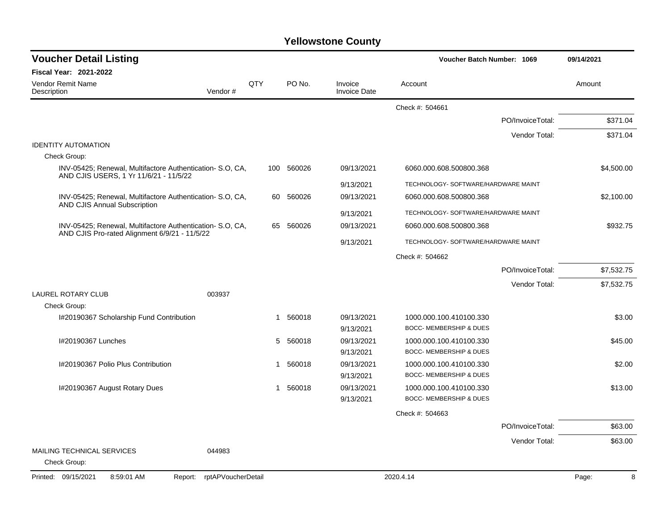| <b>Voucher Detail Listing</b>                                                                              |                               |     |            |                                | Voucher Batch Number: 1069          |                  | 09/14/2021 |
|------------------------------------------------------------------------------------------------------------|-------------------------------|-----|------------|--------------------------------|-------------------------------------|------------------|------------|
| <b>Fiscal Year: 2021-2022</b>                                                                              |                               |     |            |                                |                                     |                  |            |
| <b>Vendor Remit Name</b><br>Description                                                                    | Vendor#                       | QTY | PO No.     | Invoice<br><b>Invoice Date</b> | Account                             |                  | Amount     |
|                                                                                                            |                               |     |            |                                | Check #: 504661                     |                  |            |
|                                                                                                            |                               |     |            |                                |                                     | PO/InvoiceTotal: | \$371.04   |
|                                                                                                            |                               |     |            |                                |                                     | Vendor Total:    | \$371.04   |
| <b>IDENTITY AUTOMATION</b>                                                                                 |                               |     |            |                                |                                     |                  |            |
| Check Group:                                                                                               |                               |     |            |                                |                                     |                  |            |
| INV-05425; Renewal, Multifactore Authentication- S.O. CA,<br>AND CJIS USERS, 1 Yr 11/6/21 - 11/5/22        |                               |     | 100 560026 | 09/13/2021                     | 6060.000.608.500800.368             |                  | \$4,500.00 |
|                                                                                                            |                               |     |            | 9/13/2021                      | TECHNOLOGY- SOFTWARE/HARDWARE MAINT |                  |            |
| INV-05425; Renewal, Multifactore Authentication- S.O. CA,<br><b>AND CJIS Annual Subscription</b>           |                               |     | 60 560026  | 09/13/2021                     | 6060.000.608.500800.368             |                  | \$2,100.00 |
|                                                                                                            |                               |     |            | 9/13/2021                      | TECHNOLOGY- SOFTWARE/HARDWARE MAINT |                  |            |
| INV-05425; Renewal, Multifactore Authentication- S.O, CA,<br>AND CJIS Pro-rated Alignment 6/9/21 - 11/5/22 |                               |     | 65 560026  | 09/13/2021                     | 6060.000.608.500800.368             |                  | \$932.75   |
|                                                                                                            |                               |     |            | 9/13/2021                      | TECHNOLOGY- SOFTWARE/HARDWARE MAINT |                  |            |
|                                                                                                            |                               |     |            |                                | Check #: 504662                     |                  |            |
|                                                                                                            |                               |     |            |                                |                                     | PO/InvoiceTotal: | \$7,532.75 |
|                                                                                                            |                               |     |            |                                |                                     | Vendor Total:    | \$7,532.75 |
| <b>LAUREL ROTARY CLUB</b>                                                                                  | 003937                        |     |            |                                |                                     |                  |            |
| Check Group:                                                                                               |                               |     |            |                                |                                     |                  |            |
| I#20190367 Scholarship Fund Contribution                                                                   |                               | 1   | 560018     | 09/13/2021                     | 1000.000.100.410100.330             |                  | \$3.00     |
|                                                                                                            |                               |     |            | 9/13/2021                      | BOCC- MEMBERSHIP & DUES             |                  |            |
| I#20190367 Lunches                                                                                         |                               |     | 5 560018   | 09/13/2021                     | 1000.000.100.410100.330             |                  | \$45.00    |
|                                                                                                            |                               |     |            | 9/13/2021                      | BOCC- MEMBERSHIP & DUES             |                  |            |
| I#20190367 Polio Plus Contribution                                                                         |                               | 1   | 560018     | 09/13/2021                     | 1000.000.100.410100.330             |                  | \$2.00     |
|                                                                                                            |                               |     |            | 9/13/2021                      | BOCC- MEMBERSHIP & DUES             |                  |            |
| I#20190367 August Rotary Dues                                                                              |                               | 1   | 560018     | 09/13/2021                     | 1000.000.100.410100.330             |                  | \$13.00    |
|                                                                                                            |                               |     |            | 9/13/2021                      | <b>BOCC- MEMBERSHIP &amp; DUES</b>  |                  |            |
|                                                                                                            |                               |     |            |                                | Check #: 504663                     |                  |            |
|                                                                                                            |                               |     |            |                                |                                     | PO/InvoiceTotal: | \$63.00    |
|                                                                                                            |                               |     |            |                                |                                     | Vendor Total:    | \$63.00    |
| MAILING TECHNICAL SERVICES                                                                                 | 044983                        |     |            |                                |                                     |                  |            |
| Check Group:                                                                                               |                               |     |            |                                |                                     |                  |            |
| Printed: 09/15/2021<br>8:59:01 AM                                                                          | rptAPVoucherDetail<br>Report: |     |            |                                | 2020.4.14                           |                  | 8<br>Page: |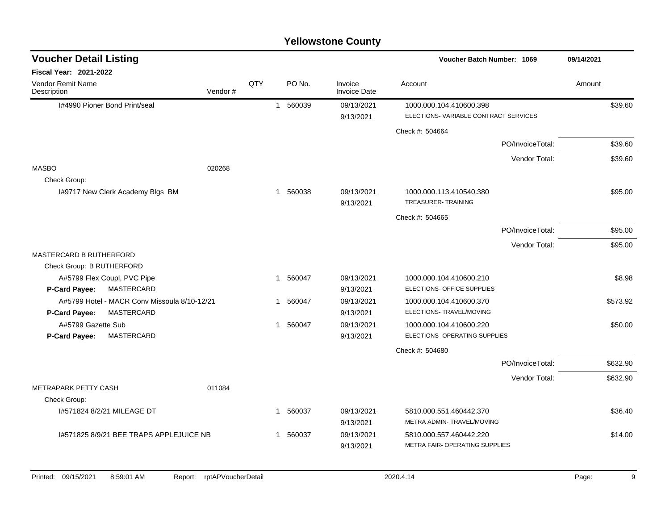| <b>Voucher Detail Listing</b>                      |     |   |          |                                | Voucher Batch Number: 1069                                      | 09/14/2021 |
|----------------------------------------------------|-----|---|----------|--------------------------------|-----------------------------------------------------------------|------------|
| <b>Fiscal Year: 2021-2022</b>                      |     |   |          |                                |                                                                 |            |
| <b>Vendor Remit Name</b><br>Vendor#<br>Description | QTY |   | PO No.   | Invoice<br><b>Invoice Date</b> | Account                                                         | Amount     |
| 1#4990 Pioner Bond Print/seal                      |     |   | 1 560039 | 09/13/2021<br>9/13/2021        | 1000.000.104.410600.398<br>ELECTIONS-VARIABLE CONTRACT SERVICES | \$39.60    |
|                                                    |     |   |          |                                | Check #: 504664                                                 |            |
|                                                    |     |   |          |                                | PO/InvoiceTotal:                                                | \$39.60    |
|                                                    |     |   |          |                                | Vendor Total:                                                   | \$39.60    |
| <b>MASBO</b><br>020268                             |     |   |          |                                |                                                                 |            |
| Check Group:                                       |     |   |          |                                |                                                                 |            |
| 1#9717 New Clerk Academy Blgs BM                   |     |   | 1 560038 | 09/13/2021<br>9/13/2021        | 1000.000.113.410540.380<br>TREASURER-TRAINING                   | \$95.00    |
|                                                    |     |   |          |                                | Check #: 504665                                                 |            |
|                                                    |     |   |          |                                | PO/InvoiceTotal:                                                | \$95.00    |
|                                                    |     |   |          |                                | Vendor Total:                                                   | \$95.00    |
| <b>MASTERCARD B RUTHERFORD</b>                     |     |   |          |                                |                                                                 |            |
| Check Group: B RUTHERFORD                          |     |   |          |                                |                                                                 |            |
| A#5799 Flex Coupl, PVC Pipe                        |     |   | 1 560047 | 09/13/2021                     | 1000.000.104.410600.210                                         | \$8.98     |
| <b>P-Card Payee:</b><br>MASTERCARD                 |     |   |          | 9/13/2021                      | ELECTIONS- OFFICE SUPPLIES                                      |            |
| A#5799 Hotel - MACR Conv Missoula 8/10-12/21       |     | 1 | 560047   | 09/13/2021                     | 1000.000.104.410600.370                                         | \$573.92   |
| MASTERCARD<br>P-Card Payee:                        |     |   |          | 9/13/2021                      | ELECTIONS- TRAVEL/MOVING                                        |            |
| A#5799 Gazette Sub<br>P-Card Payee:<br>MASTERCARD  |     |   | 1 560047 | 09/13/2021<br>9/13/2021        | 1000.000.104.410600.220<br>ELECTIONS- OPERATING SUPPLIES        | \$50.00    |
|                                                    |     |   |          |                                | Check #: 504680                                                 |            |
|                                                    |     |   |          |                                | PO/InvoiceTotal:                                                | \$632.90   |
|                                                    |     |   |          |                                | Vendor Total:                                                   | \$632.90   |
| METRAPARK PETTY CASH<br>011084                     |     |   |          |                                |                                                                 |            |
| Check Group:                                       |     |   |          |                                |                                                                 |            |
| 1#571824 8/2/21 MILEAGE DT                         |     | 1 | 560037   | 09/13/2021                     | 5810.000.551.460442.370                                         | \$36.40    |
|                                                    |     |   |          | 9/13/2021                      | METRA ADMIN- TRAVEL/MOVING                                      |            |
| 1#571825 8/9/21 BEE TRAPS APPLEJUICE NB            |     | 1 | 560037   | 09/13/2021                     | 5810.000.557.460442.220                                         | \$14.00    |
|                                                    |     |   |          | 9/13/2021                      | METRA FAIR- OPERATING SUPPLIES                                  |            |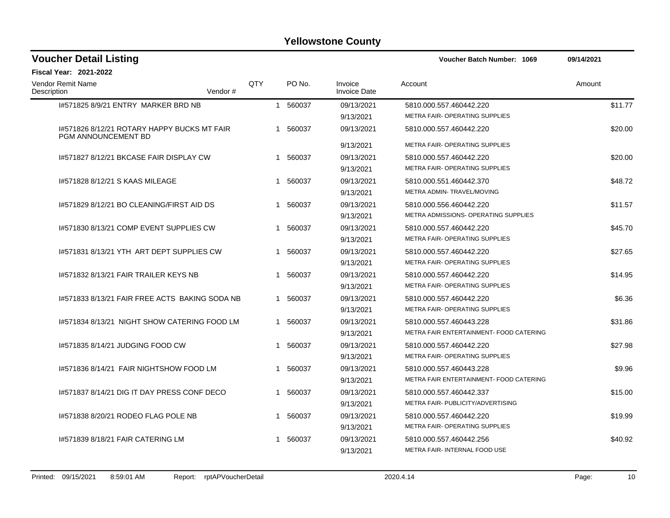| <b>Voucher Detail Listing</b>                                             |     |                        |                                | Voucher Batch Number: 1069                                | 09/14/2021 |  |
|---------------------------------------------------------------------------|-----|------------------------|--------------------------------|-----------------------------------------------------------|------------|--|
| <b>Fiscal Year: 2021-2022</b>                                             |     |                        |                                |                                                           |            |  |
| <b>Vendor Remit Name</b><br>Description<br>Vendor#                        | QTY | PO No.                 | Invoice<br><b>Invoice Date</b> | Account                                                   | Amount     |  |
| 1#571825 8/9/21 ENTRY MARKER BRD NB                                       |     | 1 560037               | 09/13/2021<br>9/13/2021        | 5810.000.557.460442.220<br>METRA FAIR- OPERATING SUPPLIES | \$11.77    |  |
| 1#571826 8/12/21 ROTARY HAPPY BUCKS MT FAIR<br><b>PGM ANNOUNCEMENT BD</b> |     | 1 560037               | 09/13/2021                     | 5810.000.557.460442.220                                   | \$20.00    |  |
|                                                                           |     |                        | 9/13/2021                      | METRA FAIR- OPERATING SUPPLIES                            |            |  |
| 1#571827 8/12/21 BKCASE FAIR DISPLAY CW                                   |     | 1 560037               | 09/13/2021                     | 5810.000.557.460442.220                                   | \$20.00    |  |
|                                                                           |     |                        | 9/13/2021                      | METRA FAIR- OPERATING SUPPLIES                            |            |  |
| 1#571828 8/12/21 S KAAS MILEAGE                                           |     | 560037<br>$\mathbf 1$  | 09/13/2021                     | 5810.000.551.460442.370                                   | \$48.72    |  |
|                                                                           |     |                        | 9/13/2021                      | METRA ADMIN- TRAVEL/MOVING                                |            |  |
| 1#571829 8/12/21 BO CLEANING/FIRST AID DS                                 |     | 1 560037               | 09/13/2021                     | 5810.000.556.460442.220                                   | \$11.57    |  |
|                                                                           |     |                        | 9/13/2021                      | METRA ADMISSIONS- OPERATING SUPPLIES                      |            |  |
| 1#571830 8/13/21 COMP EVENT SUPPLIES CW                                   |     | 1 560037               | 09/13/2021                     | 5810.000.557.460442.220                                   | \$45.70    |  |
|                                                                           |     |                        | 9/13/2021                      | METRA FAIR- OPERATING SUPPLIES                            |            |  |
| 1#571831 8/13/21 YTH ART DEPT SUPPLIES CW                                 |     | 1 560037               | 09/13/2021                     | 5810.000.557.460442.220                                   | \$27.65    |  |
|                                                                           |     |                        | 9/13/2021                      | METRA FAIR- OPERATING SUPPLIES                            |            |  |
| 1#571832 8/13/21 FAIR TRAILER KEYS NB                                     |     | 1 560037               | 09/13/2021                     | 5810.000.557.460442.220                                   | \$14.95    |  |
|                                                                           |     |                        | 9/13/2021                      | METRA FAIR- OPERATING SUPPLIES                            |            |  |
| 1#571833 8/13/21 FAIR FREE ACTS BAKING SODA NB                            |     | 560037<br>1            | 09/13/2021                     | 5810.000.557.460442.220                                   | \$6.36     |  |
|                                                                           |     |                        | 9/13/2021                      | METRA FAIR- OPERATING SUPPLIES                            |            |  |
| 1#571834 8/13/21 NIGHT SHOW CATERING FOOD LM                              |     | 560037<br>$\mathbf{1}$ | 09/13/2021                     | 5810.000.557.460443.228                                   | \$31.86    |  |
|                                                                           |     |                        | 9/13/2021                      | METRA FAIR ENTERTAINMENT- FOOD CATERING                   |            |  |
| 1#571835 8/14/21 JUDGING FOOD CW                                          |     | 1 560037               | 09/13/2021                     | 5810.000.557.460442.220                                   | \$27.98    |  |
|                                                                           |     |                        | 9/13/2021                      | METRA FAIR- OPERATING SUPPLIES                            |            |  |
| 1#571836 8/14/21 FAIR NIGHTSHOW FOOD LM                                   |     | 1 560037               | 09/13/2021                     | 5810.000.557.460443.228                                   | \$9.96     |  |
|                                                                           |     |                        | 9/13/2021                      | METRA FAIR ENTERTAINMENT- FOOD CATERING                   |            |  |
| 1#571837 8/14/21 DIG IT DAY PRESS CONF DECO                               |     | 1 560037               | 09/13/2021                     | 5810.000.557.460442.337                                   | \$15.00    |  |
|                                                                           |     |                        | 9/13/2021                      | METRA FAIR- PUBLICITY/ADVERTISING                         |            |  |
| 1#571838 8/20/21 RODEO FLAG POLE NB                                       |     | 560037<br>$\mathbf{1}$ | 09/13/2021                     | 5810.000.557.460442.220                                   | \$19.99    |  |
|                                                                           |     |                        | 9/13/2021                      | <b>METRA FAIR- OPERATING SUPPLIES</b>                     |            |  |
| 1#571839 8/18/21 FAIR CATERING LM                                         | 1   | 560037                 | 09/13/2021                     | 5810.000.557.460442.256                                   | \$40.92    |  |
|                                                                           |     |                        | 9/13/2021                      | METRA FAIR-INTERNAL FOOD USE                              |            |  |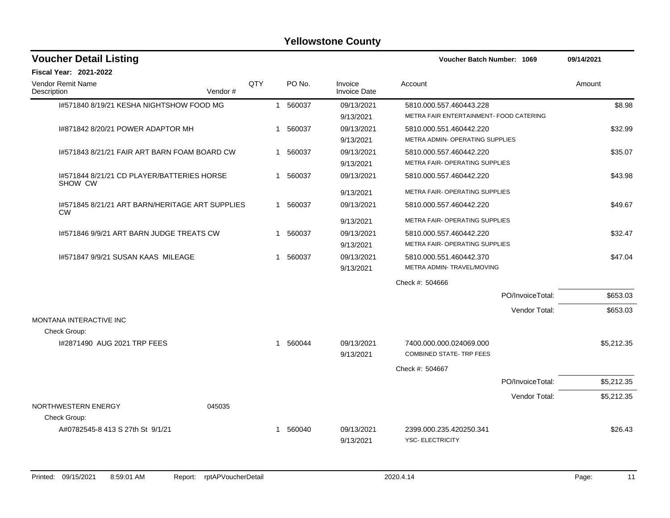| <b>Voucher Detail Listing</b>                                |     |   |          |                                | Voucher Batch Number: 1069                                         |                  | 09/14/2021 |
|--------------------------------------------------------------|-----|---|----------|--------------------------------|--------------------------------------------------------------------|------------------|------------|
| <b>Fiscal Year: 2021-2022</b>                                |     |   |          |                                |                                                                    |                  |            |
| Vendor Remit Name<br>Description<br>Vendor#                  | QTY |   | PO No.   | Invoice<br><b>Invoice Date</b> | Account                                                            |                  | Amount     |
| 1#571840 8/19/21 KESHA NIGHTSHOW FOOD MG                     |     |   | 1 560037 | 09/13/2021<br>9/13/2021        | 5810.000.557.460443.228<br>METRA FAIR ENTERTAINMENT- FOOD CATERING |                  | \$8.98     |
| 1#871842 8/20/21 POWER ADAPTOR MH                            |     |   | 1 560037 | 09/13/2021<br>9/13/2021        | 5810.000.551.460442.220<br>METRA ADMIN- OPERATING SUPPLIES         |                  | \$32.99    |
| 1#571843 8/21/21 FAIR ART BARN FOAM BOARD CW                 |     |   | 1 560037 | 09/13/2021<br>9/13/2021        | 5810.000.557.460442.220<br>METRA FAIR- OPERATING SUPPLIES          |                  | \$35.07    |
| 1#571844 8/21/21 CD PLAYER/BATTERIES HORSE<br>SHOW CW        |     |   | 1 560037 | 09/13/2021                     | 5810.000.557.460442.220                                            |                  | \$43.98    |
|                                                              |     |   |          | 9/13/2021                      | METRA FAIR- OPERATING SUPPLIES                                     |                  |            |
| 1#571845 8/21/21 ART BARN/HERITAGE ART SUPPLIES<br><b>CW</b> |     |   | 1 560037 | 09/13/2021                     | 5810.000.557.460442.220                                            |                  | \$49.67    |
|                                                              |     |   |          | 9/13/2021                      | METRA FAIR- OPERATING SUPPLIES                                     |                  |            |
| 1#571846 9/9/21 ART BARN JUDGE TREATS CW                     |     |   | 1 560037 | 09/13/2021                     | 5810.000.557.460442.220                                            |                  | \$32.47    |
|                                                              |     |   |          | 9/13/2021                      | METRA FAIR- OPERATING SUPPLIES                                     |                  |            |
| 1#571847 9/9/21 SUSAN KAAS MILEAGE                           |     |   | 1 560037 | 09/13/2021<br>9/13/2021        | 5810.000.551.460442.370<br>METRA ADMIN- TRAVEL/MOVING              |                  | \$47.04    |
|                                                              |     |   |          |                                | Check #: 504666                                                    |                  |            |
|                                                              |     |   |          |                                |                                                                    | PO/InvoiceTotal: | \$653.03   |
|                                                              |     |   |          |                                |                                                                    | Vendor Total:    | \$653.03   |
| MONTANA INTERACTIVE INC                                      |     |   |          |                                |                                                                    |                  |            |
| Check Group:                                                 |     |   |          |                                |                                                                    |                  |            |
| I#2871490 AUG 2021 TRP FEES                                  |     |   | 1 560044 | 09/13/2021<br>9/13/2021        | 7400.000.000.024069.000<br><b>COMBINED STATE- TRP FEES</b>         |                  | \$5,212.35 |
|                                                              |     |   |          |                                | Check #: 504667                                                    |                  |            |
|                                                              |     |   |          |                                |                                                                    | PO/InvoiceTotal: | \$5,212.35 |
|                                                              |     |   |          |                                |                                                                    | Vendor Total:    | \$5,212.35 |
| NORTHWESTERN ENERGY<br>045035<br>Check Group:                |     |   |          |                                |                                                                    |                  |            |
| A#0782545-8 413 S 27th St 9/1/21                             |     | 1 | 560040   | 09/13/2021<br>9/13/2021        | 2399.000.235.420250.341<br><b>YSC- ELECTRICITY</b>                 |                  | \$26.43    |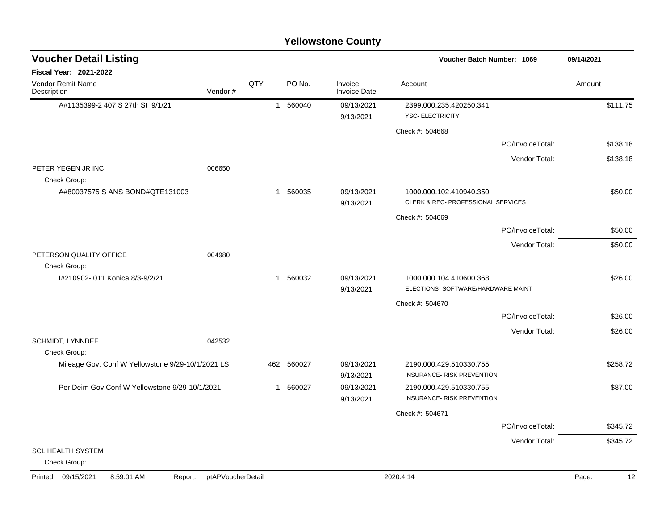| <b>Voucher Detail Listing</b>                     |                    |              |            |                                | Voucher Batch Number: 1069                                    |                  | 09/14/2021  |
|---------------------------------------------------|--------------------|--------------|------------|--------------------------------|---------------------------------------------------------------|------------------|-------------|
| <b>Fiscal Year: 2021-2022</b>                     |                    |              |            |                                |                                                               |                  |             |
| Vendor Remit Name<br>Description                  | Vendor#            | QTY          | PO No.     | Invoice<br><b>Invoice Date</b> | Account                                                       |                  | Amount      |
| A#1135399-2 407 S 27th St 9/1/21                  |                    |              | 1 560040   | 09/13/2021<br>9/13/2021        | 2399.000.235.420250.341<br><b>YSC- ELECTRICITY</b>            |                  | \$111.75    |
|                                                   |                    |              |            |                                | Check #: 504668                                               |                  |             |
|                                                   |                    |              |            |                                |                                                               | PO/InvoiceTotal: | \$138.18    |
|                                                   |                    |              |            |                                |                                                               | Vendor Total:    | \$138.18    |
| PETER YEGEN JR INC<br>Check Group:                | 006650             |              |            |                                |                                                               |                  |             |
| A#80037575 S ANS BOND#QTE131003                   |                    |              | 1 560035   | 09/13/2021<br>9/13/2021        | 1000.000.102.410940.350<br>CLERK & REC- PROFESSIONAL SERVICES |                  | \$50.00     |
|                                                   |                    |              |            |                                | Check #: 504669                                               |                  |             |
|                                                   |                    |              |            |                                |                                                               | PO/InvoiceTotal: | \$50.00     |
|                                                   |                    |              |            |                                |                                                               | Vendor Total:    | \$50.00     |
| PETERSON QUALITY OFFICE<br>Check Group:           | 004980             |              |            |                                |                                                               |                  |             |
| I#210902-I011 Konica 8/3-9/2/21                   |                    |              | 1 560032   | 09/13/2021<br>9/13/2021        | 1000.000.104.410600.368<br>ELECTIONS- SOFTWARE/HARDWARE MAINT |                  | \$26.00     |
|                                                   |                    |              |            |                                | Check #: 504670                                               |                  |             |
|                                                   |                    |              |            |                                |                                                               | PO/InvoiceTotal: | \$26.00     |
|                                                   |                    |              |            |                                |                                                               | Vendor Total:    | \$26.00     |
| SCHMIDT, LYNNDEE<br>Check Group:                  | 042532             |              |            |                                |                                                               |                  |             |
| Mileage Gov. Conf W Yellowstone 9/29-10/1/2021 LS |                    |              | 462 560027 | 09/13/2021<br>9/13/2021        | 2190.000.429.510330.755<br>INSURANCE- RISK PREVENTION         |                  | \$258.72    |
| Per Deim Gov Conf W Yellowstone 9/29-10/1/2021    |                    | $\mathbf{1}$ | 560027     | 09/13/2021<br>9/13/2021        | 2190.000.429.510330.755<br>INSURANCE- RISK PREVENTION         |                  | \$87.00     |
|                                                   |                    |              |            |                                | Check #: 504671                                               |                  |             |
|                                                   |                    |              |            |                                |                                                               | PO/InvoiceTotal: | \$345.72    |
|                                                   |                    |              |            |                                |                                                               | Vendor Total:    | \$345.72    |
| <b>SCL HEALTH SYSTEM</b><br>Check Group:          |                    |              |            |                                |                                                               |                  |             |
| Printed: 09/15/2021<br>8:59:01 AM<br>Report:      | rptAPVoucherDetail |              |            |                                | 2020.4.14                                                     |                  | 12<br>Page: |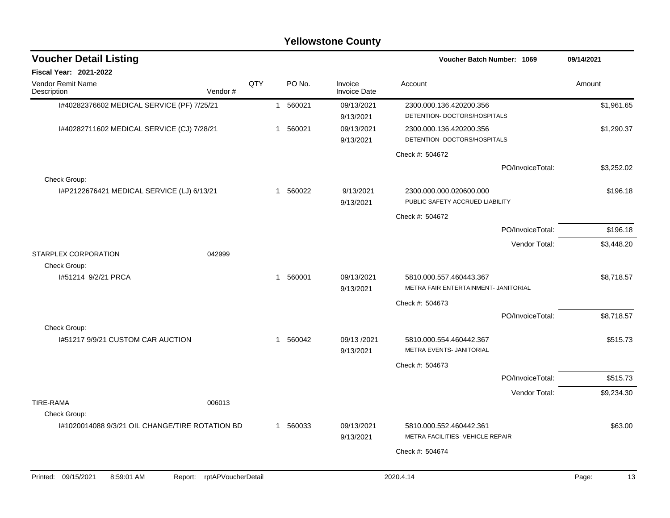| <b>Voucher Detail Listing</b>                     |                               |     |              |          |                                | Voucher Batch Number: 1069                                      |                  | 09/14/2021  |
|---------------------------------------------------|-------------------------------|-----|--------------|----------|--------------------------------|-----------------------------------------------------------------|------------------|-------------|
| Fiscal Year: 2021-2022                            |                               |     |              |          |                                |                                                                 |                  |             |
| Vendor Remit Name<br>Description                  | Vendor#                       | QTY |              | PO No.   | Invoice<br><b>Invoice Date</b> | Account                                                         |                  | Amount      |
| I#40282376602 MEDICAL SERVICE (PF) 7/25/21        |                               |     |              | 1 560021 | 09/13/2021<br>9/13/2021        | 2300.000.136.420200.356<br>DETENTION- DOCTORS/HOSPITALS         |                  | \$1,961.65  |
| I#40282711602 MEDICAL SERVICE (CJ) 7/28/21        |                               |     |              | 1 560021 | 09/13/2021<br>9/13/2021        | 2300.000.136.420200.356<br>DETENTION- DOCTORS/HOSPITALS         |                  | \$1,290.37  |
|                                                   |                               |     |              |          |                                | Check #: 504672                                                 |                  |             |
| Check Group:                                      |                               |     |              |          |                                |                                                                 | PO/InvoiceTotal: | \$3.252.02  |
| I#P2122676421 MEDICAL SERVICE (LJ) 6/13/21        |                               |     | $\mathbf{1}$ | 560022   | 9/13/2021<br>9/13/2021         | 2300.000.000.020600.000<br>PUBLIC SAFETY ACCRUED LIABILITY      |                  | \$196.18    |
|                                                   |                               |     |              |          |                                | Check #: 504672                                                 |                  |             |
|                                                   |                               |     |              |          |                                |                                                                 | PO/InvoiceTotal: | \$196.18    |
|                                                   |                               |     |              |          |                                |                                                                 | Vendor Total:    | \$3,448.20  |
| STARPLEX CORPORATION<br>Check Group:              | 042999                        |     |              |          |                                |                                                                 |                  |             |
| I#51214 9/2/21 PRCA                               |                               |     | $\mathbf{1}$ | 560001   | 09/13/2021<br>9/13/2021        | 5810.000.557.460443.367<br>METRA FAIR ENTERTAINMENT- JANITORIAL |                  | \$8,718.57  |
|                                                   |                               |     |              |          |                                | Check #: 504673                                                 |                  |             |
|                                                   |                               |     |              |          |                                |                                                                 | PO/InvoiceTotal: | \$8.718.57  |
| Check Group:<br>1#51217 9/9/21 CUSTOM CAR AUCTION |                               |     | 1            | 560042   | 09/13/2021<br>9/13/2021        | 5810.000.554.460442.367<br>METRA EVENTS- JANITORIAL             |                  | \$515.73    |
|                                                   |                               |     |              |          |                                | Check #: 504673                                                 |                  |             |
|                                                   |                               |     |              |          |                                |                                                                 | PO/InvoiceTotal: | \$515.73    |
|                                                   |                               |     |              |          |                                |                                                                 | Vendor Total:    | \$9,234.30  |
| <b>TIRE-RAMA</b><br>Check Group:                  | 006013                        |     |              |          |                                |                                                                 |                  |             |
| 1#1020014088 9/3/21 OIL CHANGE/TIRE ROTATION BD   |                               |     |              | 1 560033 | 09/13/2021<br>9/13/2021        | 5810.000.552.460442.361<br>METRA FACILITIES- VEHICLE REPAIR     |                  | \$63.00     |
|                                                   |                               |     |              |          |                                | Check #: 504674                                                 |                  |             |
| Printed: 09/15/2021<br>8:59:01 AM                 | rptAPVoucherDetail<br>Report: |     |              |          |                                | 2020.4.14                                                       |                  | 13<br>Page: |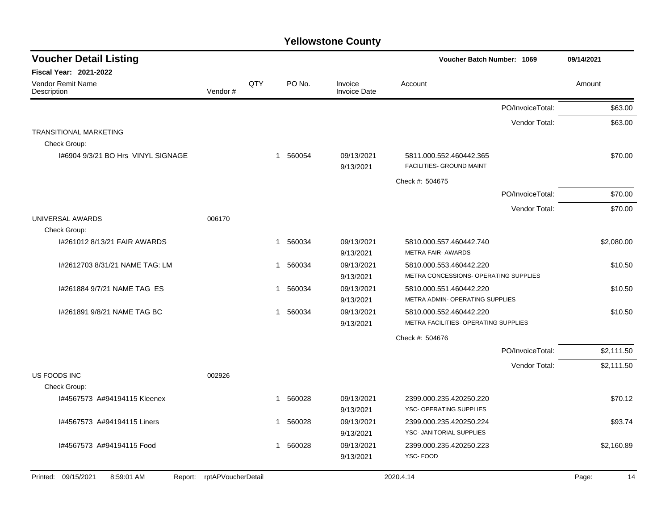| <b>Voucher Detail Listing</b>                |                    |     |                        |                                | Voucher Batch Number: 1069                                       |                  | 09/14/2021  |
|----------------------------------------------|--------------------|-----|------------------------|--------------------------------|------------------------------------------------------------------|------------------|-------------|
| <b>Fiscal Year: 2021-2022</b>                |                    |     |                        |                                |                                                                  |                  |             |
| Vendor Remit Name<br>Description             | Vendor#            | QTY | PO No.                 | Invoice<br><b>Invoice Date</b> | Account                                                          |                  | Amount      |
|                                              |                    |     |                        |                                |                                                                  | PO/InvoiceTotal: | \$63.00     |
|                                              |                    |     |                        |                                |                                                                  | Vendor Total:    | \$63.00     |
| <b>TRANSITIONAL MARKETING</b>                |                    |     |                        |                                |                                                                  |                  |             |
| Check Group:                                 |                    |     |                        |                                |                                                                  |                  |             |
| 1#6904 9/3/21 BO Hrs VINYL SIGNAGE           |                    |     | 1 560054               | 09/13/2021<br>9/13/2021        | 5811.000.552.460442.365<br>FACILITIES- GROUND MAINT              |                  | \$70.00     |
|                                              |                    |     |                        |                                | Check #: 504675                                                  |                  |             |
|                                              |                    |     |                        |                                |                                                                  | PO/InvoiceTotal: | \$70.00     |
|                                              |                    |     |                        |                                |                                                                  | Vendor Total:    | \$70.00     |
| UNIVERSAL AWARDS                             | 006170             |     |                        |                                |                                                                  |                  |             |
| Check Group:                                 |                    |     |                        |                                |                                                                  |                  |             |
| 1#261012 8/13/21 FAIR AWARDS                 |                    |     | 1 560034               | 09/13/2021<br>9/13/2021        | 5810.000.557.460442.740<br><b>METRA FAIR- AWARDS</b>             |                  | \$2,080.00  |
| I#2612703 8/31/21 NAME TAG: LM               |                    |     | 560034<br>$\mathbf{1}$ | 09/13/2021                     | 5810.000.553.460442.220<br>METRA CONCESSIONS- OPERATING SUPPLIES |                  | \$10.50     |
|                                              |                    |     |                        | 9/13/2021                      |                                                                  |                  |             |
| 1#261884 9/7/21 NAME TAG ES                  |                    |     | 560034<br>$\mathbf{1}$ | 09/13/2021<br>9/13/2021        | 5810.000.551.460442.220<br>METRA ADMIN- OPERATING SUPPLIES       |                  | \$10.50     |
| I#261891 9/8/21 NAME TAG BC                  |                    |     | 560034<br>1            | 09/13/2021                     | 5810.000.552.460442.220                                          |                  | \$10.50     |
|                                              |                    |     |                        | 9/13/2021                      | METRA FACILITIES- OPERATING SUPPLIES                             |                  |             |
|                                              |                    |     |                        |                                | Check #: 504676                                                  |                  |             |
|                                              |                    |     |                        |                                |                                                                  | PO/InvoiceTotal: | \$2,111.50  |
|                                              |                    |     |                        |                                |                                                                  | Vendor Total:    | \$2,111.50  |
| US FOODS INC<br>Check Group:                 | 002926             |     |                        |                                |                                                                  |                  |             |
|                                              |                    |     |                        |                                |                                                                  |                  |             |
| I#4567573 A#94194115 Kleenex                 |                    |     | 560028<br>1            | 09/13/2021<br>9/13/2021        | 2399.000.235.420250.220<br>YSC- OPERATING SUPPLIES               |                  | \$70.12     |
| I#4567573 A#94194115 Liners                  |                    |     | 560028<br>1            | 09/13/2021                     | 2399.000.235.420250.224                                          |                  | \$93.74     |
|                                              |                    |     |                        | 9/13/2021                      | YSC- JANITORIAL SUPPLIES                                         |                  |             |
| I#4567573 A#94194115 Food                    |                    |     | 1 560028               | 09/13/2021                     | 2399.000.235.420250.223                                          |                  | \$2,160.89  |
|                                              |                    |     |                        | 9/13/2021                      | YSC-FOOD                                                         |                  |             |
| Printed: 09/15/2021<br>8:59:01 AM<br>Report: | rptAPVoucherDetail |     |                        |                                | 2020.4.14                                                        |                  | Page:<br>14 |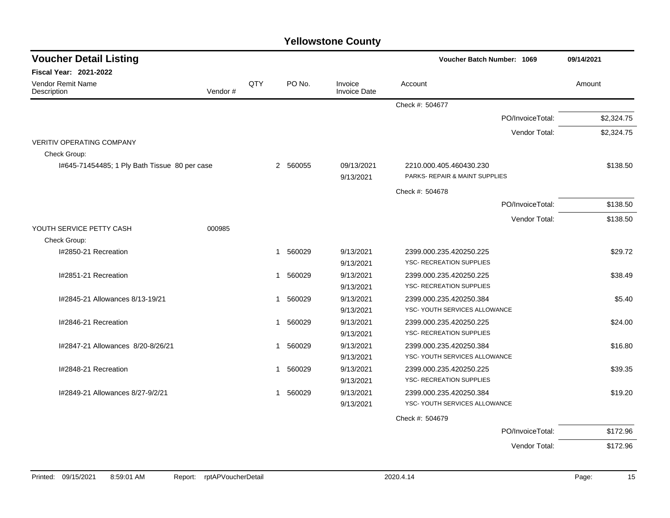| <b>Voucher Detail Listing</b>                 |     |              |                                | Voucher Batch Number: 1069      | 09/14/2021 |
|-----------------------------------------------|-----|--------------|--------------------------------|---------------------------------|------------|
| Fiscal Year: 2021-2022                        |     |              |                                |                                 |            |
| Vendor Remit Name<br>Vendor#<br>Description   | QTY | PO No.       | Invoice<br><b>Invoice Date</b> | Account                         | Amount     |
|                                               |     |              |                                | Check #: 504677                 |            |
|                                               |     |              |                                | PO/InvoiceTotal:                | \$2,324.75 |
|                                               |     |              |                                | Vendor Total:                   | \$2,324.75 |
| <b>VERITIV OPERATING COMPANY</b>              |     |              |                                |                                 |            |
| Check Group:                                  |     |              |                                |                                 |            |
| I#645-71454485; 1 Ply Bath Tissue 80 per case |     | 2 560055     | 09/13/2021                     | 2210.000.405.460430.230         | \$138.50   |
|                                               |     |              | 9/13/2021                      | PARKS- REPAIR & MAINT SUPPLIES  |            |
|                                               |     |              |                                | Check #: 504678                 |            |
|                                               |     |              |                                | PO/InvoiceTotal:                | \$138.50   |
|                                               |     |              |                                | Vendor Total:                   | \$138.50   |
| YOUTH SERVICE PETTY CASH<br>000985            |     |              |                                |                                 |            |
| Check Group:                                  |     |              |                                |                                 |            |
| I#2850-21 Recreation                          |     | 560029<br>-1 | 9/13/2021                      | 2399.000.235.420250.225         | \$29.72    |
|                                               |     |              | 9/13/2021                      | YSC- RECREATION SUPPLIES        |            |
| I#2851-21 Recreation                          |     | 1 560029     | 9/13/2021                      | 2399.000.235.420250.225         | \$38.49    |
|                                               |     |              | 9/13/2021                      | <b>YSC- RECREATION SUPPLIES</b> |            |
| I#2845-21 Allowances 8/13-19/21               |     | 1 560029     | 9/13/2021                      | 2399.000.235.420250.384         | \$5.40     |
|                                               |     |              | 9/13/2021                      | YSC- YOUTH SERVICES ALLOWANCE   |            |
| I#2846-21 Recreation                          |     | 1 560029     | 9/13/2021                      | 2399.000.235.420250.225         | \$24.00    |
|                                               |     |              | 9/13/2021                      | YSC- RECREATION SUPPLIES        |            |
| I#2847-21 Allowances 8/20-8/26/21             |     | 560029<br>-1 | 9/13/2021                      | 2399.000.235.420250.384         | \$16.80    |
|                                               |     |              | 9/13/2021                      | YSC- YOUTH SERVICES ALLOWANCE   |            |
| I#2848-21 Recreation                          |     | 1 560029     | 9/13/2021                      | 2399.000.235.420250.225         | \$39.35    |
|                                               |     |              | 9/13/2021                      | <b>YSC- RECREATION SUPPLIES</b> |            |
| I#2849-21 Allowances 8/27-9/2/21              |     | 1 560029     | 9/13/2021                      | 2399.000.235.420250.384         | \$19.20    |
|                                               |     |              | 9/13/2021                      | YSC- YOUTH SERVICES ALLOWANCE   |            |
|                                               |     |              |                                | Check #: 504679                 |            |
|                                               |     |              |                                | PO/InvoiceTotal:                | \$172.96   |
|                                               |     |              |                                | Vendor Total:                   | \$172.96   |